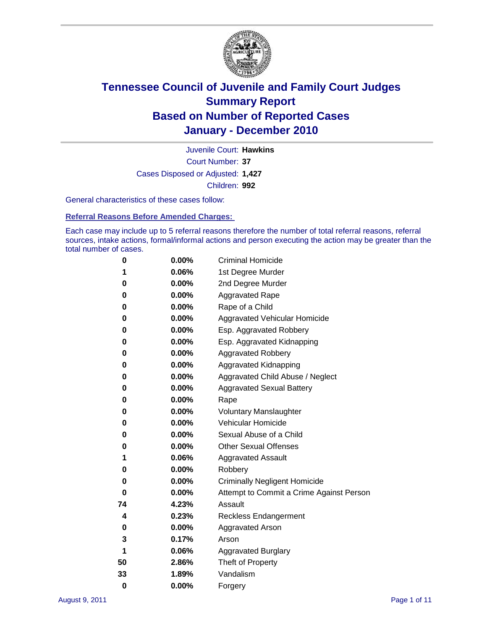

Court Number: **37** Juvenile Court: **Hawkins** Cases Disposed or Adjusted: **1,427** Children: **992**

General characteristics of these cases follow:

**Referral Reasons Before Amended Charges:** 

Each case may include up to 5 referral reasons therefore the number of total referral reasons, referral sources, intake actions, formal/informal actions and person executing the action may be greater than the total number of cases.

| 0  | 0.00%    | <b>Criminal Homicide</b>                 |
|----|----------|------------------------------------------|
| 1  | 0.06%    | 1st Degree Murder                        |
| 0  | 0.00%    | 2nd Degree Murder                        |
| 0  | 0.00%    | <b>Aggravated Rape</b>                   |
| 0  | 0.00%    | Rape of a Child                          |
| 0  | 0.00%    | Aggravated Vehicular Homicide            |
| 0  | 0.00%    | Esp. Aggravated Robbery                  |
| 0  | 0.00%    | Esp. Aggravated Kidnapping               |
| 0  | 0.00%    | <b>Aggravated Robbery</b>                |
| 0  | 0.00%    | Aggravated Kidnapping                    |
| 0  | 0.00%    | Aggravated Child Abuse / Neglect         |
| 0  | $0.00\%$ | <b>Aggravated Sexual Battery</b>         |
| 0  | 0.00%    | Rape                                     |
| 0  | $0.00\%$ | <b>Voluntary Manslaughter</b>            |
| 0  | 0.00%    | Vehicular Homicide                       |
| 0  | 0.00%    | Sexual Abuse of a Child                  |
| 0  | 0.00%    | <b>Other Sexual Offenses</b>             |
| 1  | 0.06%    | <b>Aggravated Assault</b>                |
| 0  | $0.00\%$ | Robbery                                  |
| 0  | 0.00%    | <b>Criminally Negligent Homicide</b>     |
| 0  | 0.00%    | Attempt to Commit a Crime Against Person |
| 74 | 4.23%    | Assault                                  |
| 4  | 0.23%    | <b>Reckless Endangerment</b>             |
| 0  | 0.00%    | <b>Aggravated Arson</b>                  |
| 3  | 0.17%    | Arson                                    |
| 1  | 0.06%    | <b>Aggravated Burglary</b>               |
| 50 | 2.86%    | Theft of Property                        |
| 33 | 1.89%    | Vandalism                                |
| 0  | 0.00%    | Forgery                                  |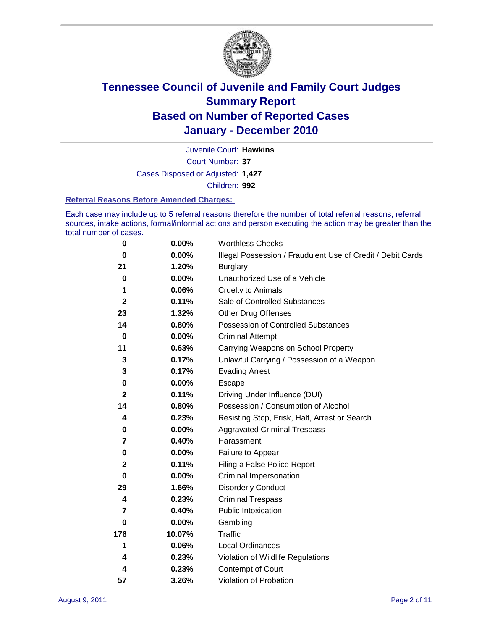

Court Number: **37** Juvenile Court: **Hawkins** Cases Disposed or Adjusted: **1,427** Children: **992**

#### **Referral Reasons Before Amended Charges:**

Each case may include up to 5 referral reasons therefore the number of total referral reasons, referral sources, intake actions, formal/informal actions and person executing the action may be greater than the total number of cases.

| $\bf{0}$     | 0.00%    | <b>Worthless Checks</b>                                     |
|--------------|----------|-------------------------------------------------------------|
| 0            | 0.00%    | Illegal Possession / Fraudulent Use of Credit / Debit Cards |
| 21           | 1.20%    | <b>Burglary</b>                                             |
| $\bf{0}$     | $0.00\%$ | Unauthorized Use of a Vehicle                               |
| 1            | 0.06%    | <b>Cruelty to Animals</b>                                   |
| $\mathbf{2}$ | 0.11%    | Sale of Controlled Substances                               |
| 23           | 1.32%    | <b>Other Drug Offenses</b>                                  |
| 14           | 0.80%    | Possession of Controlled Substances                         |
| $\bf{0}$     | $0.00\%$ | <b>Criminal Attempt</b>                                     |
| 11           | 0.63%    | Carrying Weapons on School Property                         |
| 3            | 0.17%    | Unlawful Carrying / Possession of a Weapon                  |
| 3            | 0.17%    | <b>Evading Arrest</b>                                       |
| 0            | 0.00%    | Escape                                                      |
| $\mathbf{2}$ | 0.11%    | Driving Under Influence (DUI)                               |
| 14           | 0.80%    | Possession / Consumption of Alcohol                         |
| 4            | 0.23%    | Resisting Stop, Frisk, Halt, Arrest or Search               |
| 0            | $0.00\%$ | <b>Aggravated Criminal Trespass</b>                         |
| 7            | 0.40%    | Harassment                                                  |
| $\pmb{0}$    | 0.00%    | Failure to Appear                                           |
| $\mathbf 2$  | 0.11%    | Filing a False Police Report                                |
| $\bf{0}$     | 0.00%    | Criminal Impersonation                                      |
| 29           | 1.66%    | <b>Disorderly Conduct</b>                                   |
| 4            | 0.23%    | <b>Criminal Trespass</b>                                    |
| 7            | 0.40%    | <b>Public Intoxication</b>                                  |
| 0            | $0.00\%$ | Gambling                                                    |
| 176          | 10.07%   | <b>Traffic</b>                                              |
| 1            | 0.06%    | <b>Local Ordinances</b>                                     |
| 4            | 0.23%    | Violation of Wildlife Regulations                           |
| 4            | 0.23%    | Contempt of Court                                           |
| 57           | 3.26%    | Violation of Probation                                      |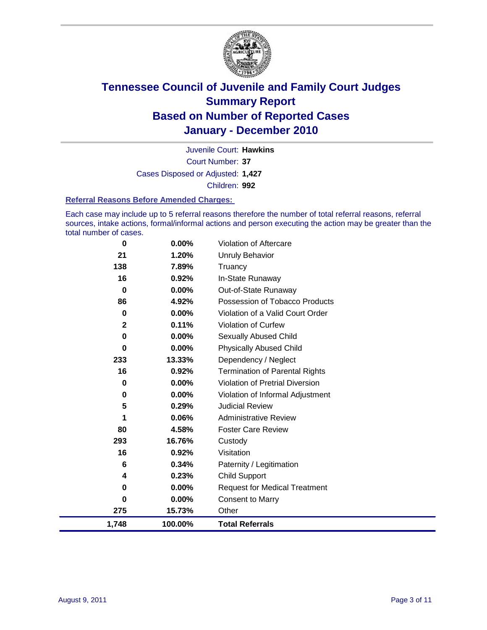

Court Number: **37** Juvenile Court: **Hawkins** Cases Disposed or Adjusted: **1,427** Children: **992**

#### **Referral Reasons Before Amended Charges:**

Each case may include up to 5 referral reasons therefore the number of total referral reasons, referral sources, intake actions, formal/informal actions and person executing the action may be greater than the total number of cases.

| 0     | 0.00%    | Violation of Aftercare                 |
|-------|----------|----------------------------------------|
| 21    | 1.20%    | Unruly Behavior                        |
| 138   | 7.89%    | Truancy                                |
| 16    | 0.92%    | In-State Runaway                       |
| 0     | $0.00\%$ | Out-of-State Runaway                   |
| 86    | 4.92%    | Possession of Tobacco Products         |
| 0     | $0.00\%$ | Violation of a Valid Court Order       |
| 2     | 0.11%    | Violation of Curfew                    |
| 0     | $0.00\%$ | Sexually Abused Child                  |
| 0     | 0.00%    | <b>Physically Abused Child</b>         |
| 233   | 13.33%   | Dependency / Neglect                   |
| 16    | 0.92%    | <b>Termination of Parental Rights</b>  |
| 0     | 0.00%    | <b>Violation of Pretrial Diversion</b> |
| 0     | 0.00%    | Violation of Informal Adjustment       |
| 5     | 0.29%    | <b>Judicial Review</b>                 |
| 1     | 0.06%    | <b>Administrative Review</b>           |
| 80    | 4.58%    | <b>Foster Care Review</b>              |
| 293   | 16.76%   | Custody                                |
| 16    | 0.92%    | Visitation                             |
| 6     | 0.34%    | Paternity / Legitimation               |
| 4     | 0.23%    | Child Support                          |
| 0     | $0.00\%$ | <b>Request for Medical Treatment</b>   |
| 0     | $0.00\%$ | <b>Consent to Marry</b>                |
| 275   | 15.73%   | Other                                  |
| 1,748 | 100.00%  | <b>Total Referrals</b>                 |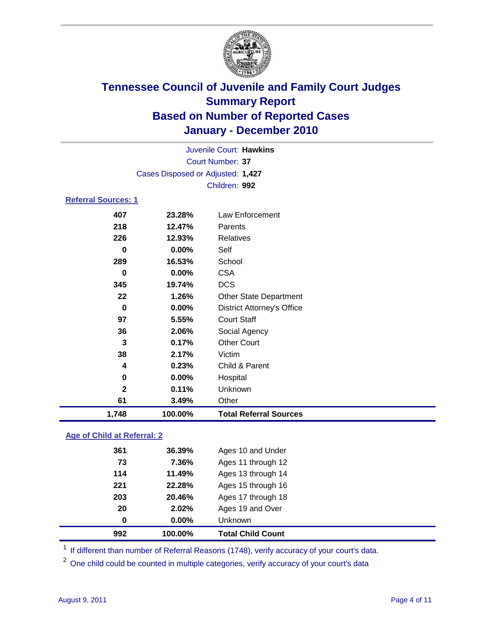

| Juvenile Court: Hawkins    |                                   |                                   |  |  |
|----------------------------|-----------------------------------|-----------------------------------|--|--|
| <b>Court Number: 37</b>    |                                   |                                   |  |  |
|                            | Cases Disposed or Adjusted: 1,427 |                                   |  |  |
|                            |                                   | Children: 992                     |  |  |
| <b>Referral Sources: 1</b> |                                   |                                   |  |  |
| 407                        | 23.28%                            | Law Enforcement                   |  |  |
| 218                        | 12.47%                            | Parents                           |  |  |
| 226                        | 12.93%                            | <b>Relatives</b>                  |  |  |
| 0                          | $0.00\%$                          | Self                              |  |  |
| 289                        | 16.53%                            | School                            |  |  |
| 0                          | $0.00\%$                          | <b>CSA</b>                        |  |  |
| 345                        | 19.74%                            | <b>DCS</b>                        |  |  |
| 22                         | 1.26%                             | <b>Other State Department</b>     |  |  |
| $\bf{0}$                   | $0.00\%$                          | <b>District Attorney's Office</b> |  |  |
| 97                         | 5.55%                             | <b>Court Staff</b>                |  |  |
| 36                         | 2.06%                             | Social Agency                     |  |  |
| 3                          | 0.17%                             | <b>Other Court</b>                |  |  |
| 38                         | 2.17%                             | Victim                            |  |  |
| 4                          | 0.23%                             | Child & Parent                    |  |  |
| 0                          | 0.00%                             | Hospital                          |  |  |
| $\mathbf{2}$               | 0.11%                             | Unknown                           |  |  |
| 61                         | 3.49%                             | Other                             |  |  |
| 1,748                      | 100.00%                           | <b>Total Referral Sources</b>     |  |  |

### **Age of Child at Referral: 2**

|     |          | <b>Total Child Count</b> |
|-----|----------|--------------------------|
| 0   | $0.00\%$ | <b>Unknown</b>           |
| 20  | 2.02%    | Ages 19 and Over         |
| 203 | 20.46%   | Ages 17 through 18       |
| 221 | 22.28%   | Ages 15 through 16       |
| 114 | 11.49%   | Ages 13 through 14       |
| 73  | 7.36%    | Ages 11 through 12       |
| 361 | 36.39%   | Ages 10 and Under        |
|     |          | 992<br>100.00%           |

<sup>1</sup> If different than number of Referral Reasons (1748), verify accuracy of your court's data.

<sup>2</sup> One child could be counted in multiple categories, verify accuracy of your court's data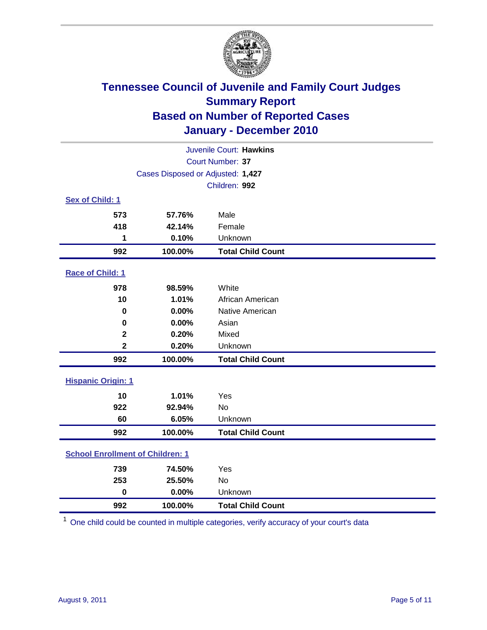

| Juvenile Court: Hawkins                 |                                   |                          |  |  |
|-----------------------------------------|-----------------------------------|--------------------------|--|--|
|                                         | Court Number: 37                  |                          |  |  |
|                                         | Cases Disposed or Adjusted: 1,427 |                          |  |  |
|                                         |                                   | Children: 992            |  |  |
| Sex of Child: 1                         |                                   |                          |  |  |
| 573                                     | 57.76%                            | Male                     |  |  |
| 418                                     | 42.14%                            | Female                   |  |  |
| 1                                       | 0.10%                             | Unknown                  |  |  |
| 992                                     | 100.00%                           | <b>Total Child Count</b> |  |  |
| Race of Child: 1                        |                                   |                          |  |  |
| 978                                     | 98.59%                            | White                    |  |  |
| 10                                      | 1.01%                             | African American         |  |  |
| $\mathbf 0$                             | 0.00%                             | Native American          |  |  |
| $\mathbf 0$                             | 0.00%                             | Asian                    |  |  |
| $\overline{\mathbf{2}}$                 | 0.20%                             | Mixed                    |  |  |
| $\overline{\mathbf{2}}$                 | 0.20%                             | Unknown                  |  |  |
| 992                                     | 100.00%                           | <b>Total Child Count</b> |  |  |
| <b>Hispanic Origin: 1</b>               |                                   |                          |  |  |
| 10                                      | 1.01%                             | Yes                      |  |  |
| 922                                     | 92.94%                            | No                       |  |  |
| 60                                      | 6.05%                             | Unknown                  |  |  |
| 992                                     | 100.00%                           | <b>Total Child Count</b> |  |  |
| <b>School Enrollment of Children: 1</b> |                                   |                          |  |  |
| 739                                     | 74.50%                            | Yes                      |  |  |
| 253                                     | 25.50%                            | No                       |  |  |
| $\mathbf 0$                             | 0.00%                             | Unknown                  |  |  |
| 992                                     | 100.00%                           | <b>Total Child Count</b> |  |  |

One child could be counted in multiple categories, verify accuracy of your court's data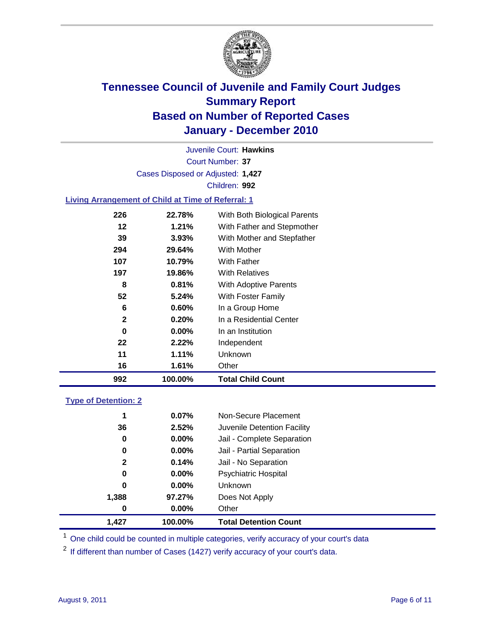

Court Number: **37** Juvenile Court: **Hawkins** Cases Disposed or Adjusted: **1,427** Children: **992**

### **Living Arrangement of Child at Time of Referral: 1**

| 992          | 100.00%  | <b>Total Child Count</b>     |
|--------------|----------|------------------------------|
| 16           | 1.61%    | Other                        |
| 11           | 1.11%    | Unknown                      |
| 22           | 2.22%    | Independent                  |
| 0            | $0.00\%$ | In an Institution            |
| $\mathbf{2}$ | 0.20%    | In a Residential Center      |
| 6            | 0.60%    | In a Group Home              |
| 52           | 5.24%    | With Foster Family           |
| 8            | 0.81%    | With Adoptive Parents        |
| 197          | 19.86%   | <b>With Relatives</b>        |
| 107          | 10.79%   | With Father                  |
| 294          | 29.64%   | With Mother                  |
| 39           | 3.93%    | With Mother and Stepfather   |
| 12           | $1.21\%$ | With Father and Stepmother   |
| 226          | 22.78%   | With Both Biological Parents |

#### **Type of Detention: 2**

| 1.427            | 100.00%  | <b>Total Detention Count</b> |
|------------------|----------|------------------------------|
| $\boldsymbol{0}$ | $0.00\%$ | Other                        |
| 1,388            | 97.27%   | Does Not Apply               |
| 0                | $0.00\%$ | Unknown                      |
| 0                | $0.00\%$ | <b>Psychiatric Hospital</b>  |
| $\mathbf{2}$     | 0.14%    | Jail - No Separation         |
| 0                | $0.00\%$ | Jail - Partial Separation    |
| 0                | 0.00%    | Jail - Complete Separation   |
| 36               | 2.52%    | Juvenile Detention Facility  |
| 1                | 0.07%    | Non-Secure Placement         |
|                  |          |                              |

<sup>1</sup> One child could be counted in multiple categories, verify accuracy of your court's data

<sup>2</sup> If different than number of Cases (1427) verify accuracy of your court's data.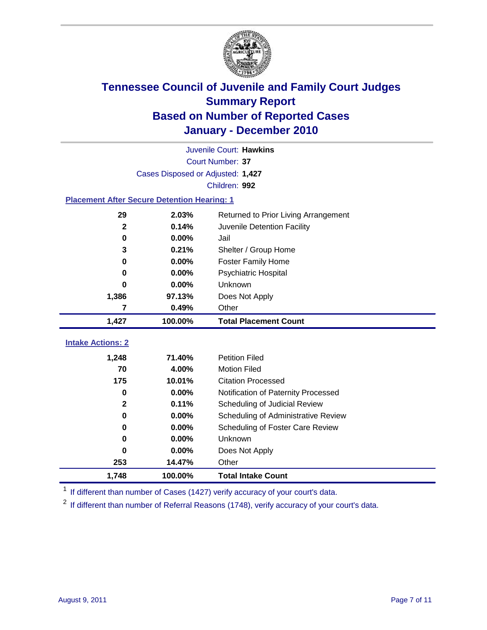

|                                                    | Juvenile Court: Hawkins           |                                      |  |  |  |
|----------------------------------------------------|-----------------------------------|--------------------------------------|--|--|--|
|                                                    | Court Number: 37                  |                                      |  |  |  |
|                                                    | Cases Disposed or Adjusted: 1,427 |                                      |  |  |  |
|                                                    |                                   | Children: 992                        |  |  |  |
| <b>Placement After Secure Detention Hearing: 1</b> |                                   |                                      |  |  |  |
| 29                                                 | 2.03%                             | Returned to Prior Living Arrangement |  |  |  |
| $\mathbf{2}$                                       | 0.14%                             | Juvenile Detention Facility          |  |  |  |
| $\bf{0}$                                           | 0.00%                             | Jail                                 |  |  |  |
| 3                                                  | 0.21%                             | Shelter / Group Home                 |  |  |  |
| $\mathbf 0$                                        | 0.00%                             | Foster Family Home                   |  |  |  |
| 0                                                  | 0.00%                             | Psychiatric Hospital                 |  |  |  |
| 0                                                  | 0.00%                             | Unknown                              |  |  |  |
| 1,386                                              | 97.13%                            | Does Not Apply                       |  |  |  |
| 7                                                  | 0.49%                             | Other                                |  |  |  |
| 1,427                                              | 100.00%                           | <b>Total Placement Count</b>         |  |  |  |
| <b>Intake Actions: 2</b>                           |                                   |                                      |  |  |  |
|                                                    |                                   |                                      |  |  |  |
| 1,248                                              | 71.40%                            | <b>Petition Filed</b>                |  |  |  |
| 70                                                 | 4.00%                             | <b>Motion Filed</b>                  |  |  |  |
| 175                                                | 10.01%                            | <b>Citation Processed</b>            |  |  |  |
| $\bf{0}$                                           | 0.00%                             | Notification of Paternity Processed  |  |  |  |
| $\mathbf{2}$                                       | 0.11%                             | Scheduling of Judicial Review        |  |  |  |
| 0                                                  | 0.00%                             | Scheduling of Administrative Review  |  |  |  |
| 0                                                  | 0.00%                             | Scheduling of Foster Care Review     |  |  |  |
| 0                                                  | 0.00%                             | <b>Unknown</b>                       |  |  |  |
| 0                                                  | 0.00%                             | Does Not Apply                       |  |  |  |
| 253                                                | 14.47%                            | Other                                |  |  |  |
| 1,748                                              | 100.00%                           | <b>Total Intake Count</b>            |  |  |  |

<sup>1</sup> If different than number of Cases (1427) verify accuracy of your court's data.

<sup>2</sup> If different than number of Referral Reasons (1748), verify accuracy of your court's data.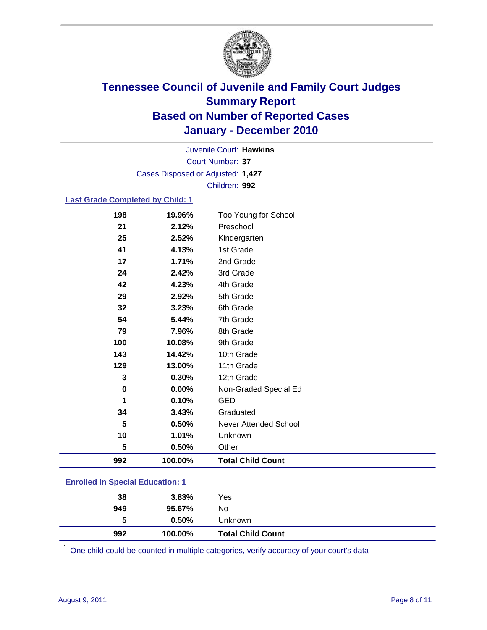

Court Number: **37** Juvenile Court: **Hawkins** Cases Disposed or Adjusted: **1,427** Children: **992**

### **Last Grade Completed by Child: 1**

| 198                                     | 19.96%  | Too Young for School         |
|-----------------------------------------|---------|------------------------------|
| 21                                      | 2.12%   | Preschool                    |
| 25                                      | 2.52%   | Kindergarten                 |
| 41                                      | 4.13%   | 1st Grade                    |
| 17                                      | 1.71%   | 2nd Grade                    |
| 24                                      | 2.42%   | 3rd Grade                    |
| 42                                      | 4.23%   | 4th Grade                    |
| 29                                      | 2.92%   | 5th Grade                    |
| 32                                      | 3.23%   | 6th Grade                    |
| 54                                      | 5.44%   | 7th Grade                    |
| 79                                      | 7.96%   | 8th Grade                    |
| 100                                     | 10.08%  | 9th Grade                    |
| 143                                     | 14.42%  | 10th Grade                   |
| 129                                     | 13.00%  | 11th Grade                   |
| 3                                       | 0.30%   | 12th Grade                   |
| 0                                       | 0.00%   | Non-Graded Special Ed        |
| 1                                       | 0.10%   | <b>GED</b>                   |
| 34                                      | 3.43%   | Graduated                    |
| 5                                       | 0.50%   | <b>Never Attended School</b> |
| 10                                      | 1.01%   | Unknown                      |
| 5                                       | 0.50%   | Other                        |
| 992                                     | 100.00% | <b>Total Child Count</b>     |
| <b>Enrolled in Special Education: 1</b> |         |                              |

| 992                                   | 100.00% | <b>Total Child Count</b> |  |  |
|---------------------------------------|---------|--------------------------|--|--|
| 5                                     | 0.50%   | Unknown                  |  |  |
| 949                                   | 95.67%  | No                       |  |  |
| 38                                    | 3.83%   | Yes                      |  |  |
| $\mathbf{r}$ only a  opposite example |         |                          |  |  |

One child could be counted in multiple categories, verify accuracy of your court's data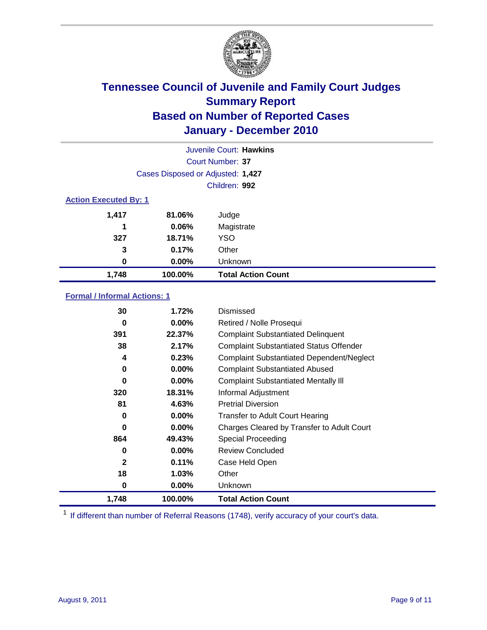

|                              | Juvenile Court: Hawkins           |                           |  |  |
|------------------------------|-----------------------------------|---------------------------|--|--|
| Court Number: 37             |                                   |                           |  |  |
|                              | Cases Disposed or Adjusted: 1,427 |                           |  |  |
|                              | Children: 992                     |                           |  |  |
| <b>Action Executed By: 1</b> |                                   |                           |  |  |
| 1,417                        | 81.06%                            | Judge                     |  |  |
| 1                            | 0.06%                             | Magistrate                |  |  |
| 327                          | 18.71%                            | <b>YSO</b>                |  |  |
| 3                            | 0.17%                             | Other                     |  |  |
| 0                            | 0.00%                             | Unknown                   |  |  |
| 1,748                        | 100.00%                           | <b>Total Action Count</b> |  |  |

### **Formal / Informal Actions: 1**

| 30           | 1.72%    | Dismissed                                        |
|--------------|----------|--------------------------------------------------|
| 0            | $0.00\%$ | Retired / Nolle Prosequi                         |
| 391          | 22.37%   | <b>Complaint Substantiated Delinquent</b>        |
| 38           | 2.17%    | <b>Complaint Substantiated Status Offender</b>   |
| 4            | 0.23%    | <b>Complaint Substantiated Dependent/Neglect</b> |
| 0            | $0.00\%$ | <b>Complaint Substantiated Abused</b>            |
| 0            | $0.00\%$ | <b>Complaint Substantiated Mentally III</b>      |
| 320          | 18.31%   | Informal Adjustment                              |
| 81           | 4.63%    | <b>Pretrial Diversion</b>                        |
| 0            | $0.00\%$ | <b>Transfer to Adult Court Hearing</b>           |
| 0            | $0.00\%$ | Charges Cleared by Transfer to Adult Court       |
| 864          | 49.43%   | <b>Special Proceeding</b>                        |
| 0            | $0.00\%$ | <b>Review Concluded</b>                          |
| $\mathbf{2}$ | 0.11%    | Case Held Open                                   |
| 18           | 1.03%    | Other                                            |
| 0            | $0.00\%$ | <b>Unknown</b>                                   |
| 1,748        | 100.00%  | <b>Total Action Count</b>                        |

<sup>1</sup> If different than number of Referral Reasons (1748), verify accuracy of your court's data.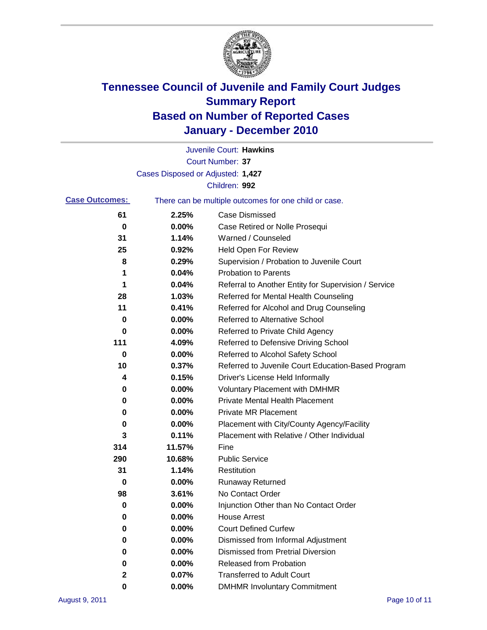

|                       |                                                       | Juvenile Court: Hawkins                              |  |
|-----------------------|-------------------------------------------------------|------------------------------------------------------|--|
|                       |                                                       | <b>Court Number: 37</b>                              |  |
|                       | Cases Disposed or Adjusted: 1,427                     |                                                      |  |
|                       |                                                       | Children: 992                                        |  |
| <b>Case Outcomes:</b> | There can be multiple outcomes for one child or case. |                                                      |  |
| 61                    | 2.25%                                                 | <b>Case Dismissed</b>                                |  |
| 0                     | 0.00%                                                 | Case Retired or Nolle Prosequi                       |  |
| 31                    | 1.14%                                                 | Warned / Counseled                                   |  |
| 25                    | 0.92%                                                 | <b>Held Open For Review</b>                          |  |
| 8                     | 0.29%                                                 | Supervision / Probation to Juvenile Court            |  |
| 1                     | 0.04%                                                 | <b>Probation to Parents</b>                          |  |
| 1                     | 0.04%                                                 | Referral to Another Entity for Supervision / Service |  |
| 28                    | 1.03%                                                 | Referred for Mental Health Counseling                |  |
| 11                    | 0.41%                                                 | Referred for Alcohol and Drug Counseling             |  |
| 0                     | 0.00%                                                 | <b>Referred to Alternative School</b>                |  |
| 0                     | 0.00%                                                 | Referred to Private Child Agency                     |  |
| 111                   | 4.09%                                                 | Referred to Defensive Driving School                 |  |
| 0                     | 0.00%                                                 | Referred to Alcohol Safety School                    |  |
| 10                    | 0.37%                                                 | Referred to Juvenile Court Education-Based Program   |  |
| 4                     | 0.15%                                                 | Driver's License Held Informally                     |  |
| 0                     | 0.00%                                                 | <b>Voluntary Placement with DMHMR</b>                |  |
| 0                     | 0.00%                                                 | <b>Private Mental Health Placement</b>               |  |
| 0                     | 0.00%                                                 | <b>Private MR Placement</b>                          |  |
| 0                     | 0.00%                                                 | Placement with City/County Agency/Facility           |  |
| 3                     | 0.11%                                                 | Placement with Relative / Other Individual           |  |
| 314                   | 11.57%                                                | Fine                                                 |  |
| 290                   | 10.68%                                                | <b>Public Service</b>                                |  |
| 31                    | 1.14%                                                 | Restitution                                          |  |
| 0                     | 0.00%                                                 | <b>Runaway Returned</b>                              |  |
| 98                    | 3.61%                                                 | No Contact Order                                     |  |
| 0                     | 0.00%                                                 | Injunction Other than No Contact Order               |  |
| 0                     | 0.00%                                                 | <b>House Arrest</b>                                  |  |
| 0                     | 0.00%                                                 | <b>Court Defined Curfew</b>                          |  |
| 0                     | 0.00%                                                 | Dismissed from Informal Adjustment                   |  |
| 0                     | 0.00%                                                 | <b>Dismissed from Pretrial Diversion</b>             |  |
| 0                     | 0.00%                                                 | Released from Probation                              |  |
| 2                     | 0.07%                                                 | <b>Transferred to Adult Court</b>                    |  |
| 0                     | 0.00%                                                 | <b>DMHMR Involuntary Commitment</b>                  |  |